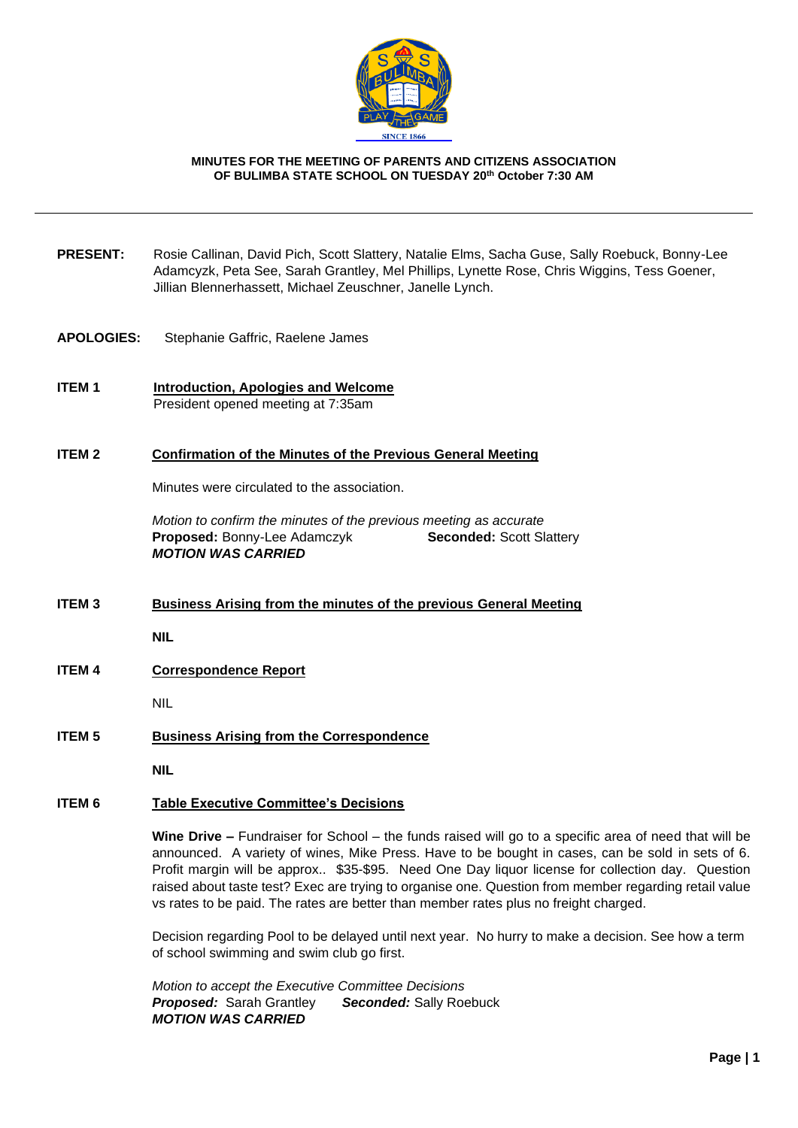

#### **MINUTES FOR THE MEETING OF PARENTS AND CITIZENS ASSOCIATION OF BULIMBA STATE SCHOOL ON TUESDAY 20th October 7:30 AM**

- **PRESENT:** Rosie Callinan, David Pich, Scott Slattery, Natalie Elms, Sacha Guse, Sally Roebuck, Bonny-Lee Adamcyzk, Peta See, Sarah Grantley, Mel Phillips, Lynette Rose, Chris Wiggins, Tess Goener, Jillian Blennerhassett, Michael Zeuschner, Janelle Lynch.
- **APOLOGIES:** Stephanie Gaffric, Raelene James
- **ITEM 1 Introduction, Apologies and Welcome** President opened meeting at 7:35am

#### **ITEM 2 Confirmation of the Minutes of the Previous General Meeting**

Minutes were circulated to the association.

*Motion to confirm the minutes of the previous meeting as accurate* **Proposed:** Bonny-Lee Adamczyk **Seconded:** Scott Slattery *MOTION WAS CARRIED*

**ITEM 3 Business Arising from the minutes of the previous General Meeting**

**NIL**

**ITEM 4 Correspondence Report** 

NIL

**ITEM 5 Business Arising from the Correspondence**

**NIL**

### **ITEM 6 Table Executive Committee's Decisions**

**Wine Drive –** Fundraiser for School – the funds raised will go to a specific area of need that will be announced. A variety of wines, Mike Press. Have to be bought in cases, can be sold in sets of 6. Profit margin will be approx.. \$35-\$95. Need One Day liquor license for collection day. Question raised about taste test? Exec are trying to organise one. Question from member regarding retail value vs rates to be paid. The rates are better than member rates plus no freight charged.

Decision regarding Pool to be delayed until next year. No hurry to make a decision. See how a term of school swimming and swim club go first.

*Motion to accept the Executive Committee Decisions Proposed:* Sarah Grantley *Seconded:* Sally Roebuck *MOTION WAS CARRIED*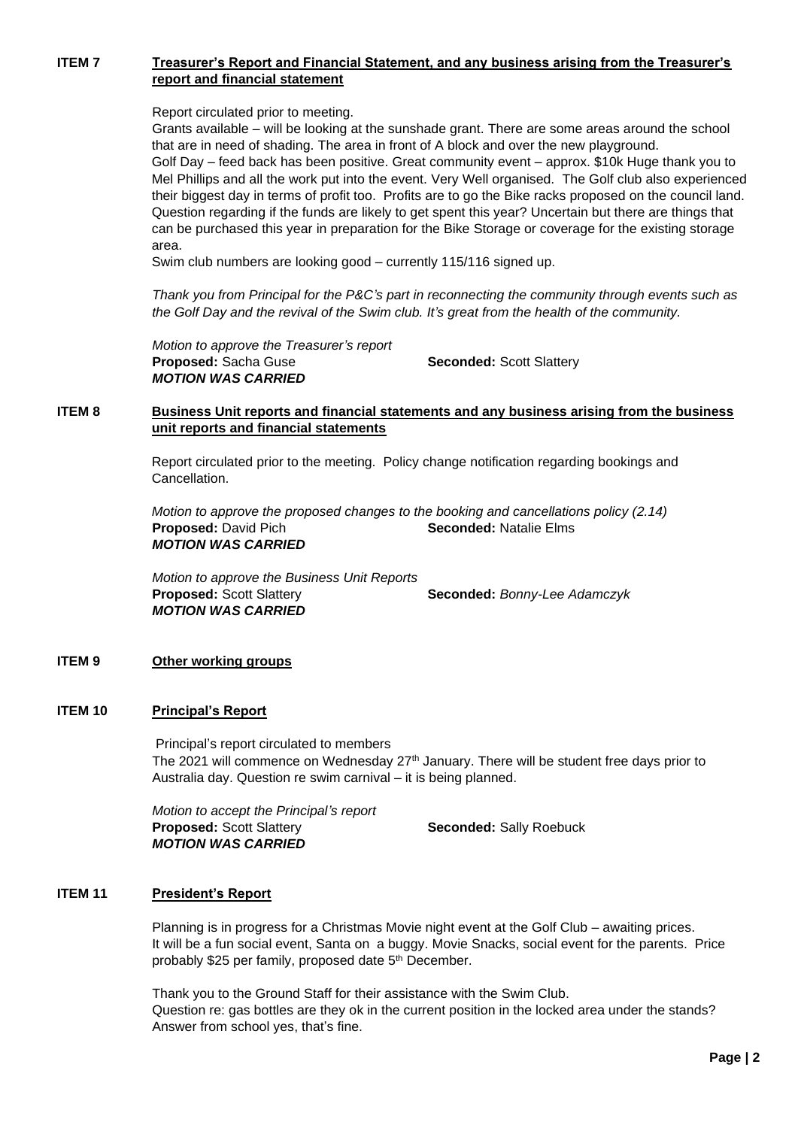# **ITEM 7 Treasurer's Report and Financial Statement, and any business arising from the Treasurer's report and financial statement**

Report circulated prior to meeting.

Grants available – will be looking at the sunshade grant. There are some areas around the school that are in need of shading. The area in front of A block and over the new playground. Golf Day – feed back has been positive. Great community event – approx. \$10k Huge thank you to Mel Phillips and all the work put into the event. Very Well organised. The Golf club also experienced their biggest day in terms of profit too. Profits are to go the Bike racks proposed on the council land. Question regarding if the funds are likely to get spent this year? Uncertain but there are things that can be purchased this year in preparation for the Bike Storage or coverage for the existing storage area.

Swim club numbers are looking good – currently 115/116 signed up.

*Thank you from Principal for the P&C's part in reconnecting the community through events such as the Golf Day and the revival of the Swim club. It's great from the health of the community.*

*Motion to approve the Treasurer's report* **Proposed:** Sacha Guse **Seconded:** Scott Slattery *MOTION WAS CARRIED*

# **ITEM 8 Business Unit reports and financial statements and any business arising from the business unit reports and financial statements**

Report circulated prior to the meeting. Policy change notification regarding bookings and Cancellation.

*Motion to approve the proposed changes to the booking and cancellations policy (2.14)* **Proposed: David Pich <b>Seconded:** Natalie Elms *MOTION WAS CARRIED*

*Motion to approve the Business Unit Reports* **Proposed:** Scott Slattery **Seconded:** *Bonny-Lee Adamczyk MOTION WAS CARRIED*

#### **ITEM 9 Other working groups**

### **ITEM 10 Principal's Report**

Principal's report circulated to members The 2021 will commence on Wednesday 27<sup>th</sup> January. There will be student free days prior to Australia day. Question re swim carnival – it is being planned.

*Motion to accept the Principal's report* **Proposed:** Scott Slattery **Seconded:** Sally Roebuck *MOTION WAS CARRIED*

#### **ITEM 11 President's Report**

Planning is in progress for a Christmas Movie night event at the Golf Club – awaiting prices. It will be a fun social event, Santa on a buggy. Movie Snacks, social event for the parents. Price probably \$25 per family, proposed date 5th December.

Thank you to the Ground Staff for their assistance with the Swim Club. Question re: gas bottles are they ok in the current position in the locked area under the stands? Answer from school yes, that's fine.